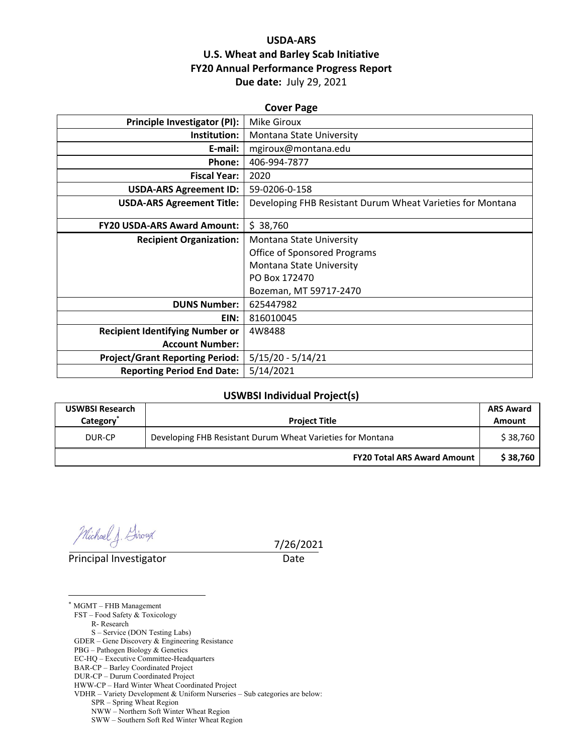## **USDA‐ARS U.S. Wheat and Barley Scab Initiative FY20 Annual Performance Progress Report Due date:** July 29, 2021

| <b>Cover Page</b>                      |                                                            |  |  |  |
|----------------------------------------|------------------------------------------------------------|--|--|--|
| <b>Principle Investigator (PI):</b>    | <b>Mike Giroux</b>                                         |  |  |  |
| Institution:                           | Montana State University                                   |  |  |  |
| E-mail:                                | mgiroux@montana.edu                                        |  |  |  |
| Phone:                                 | 406-994-7877                                               |  |  |  |
| <b>Fiscal Year:</b>                    | 2020                                                       |  |  |  |
| <b>USDA-ARS Agreement ID:</b>          | 59-0206-0-158                                              |  |  |  |
| <b>USDA-ARS Agreement Title:</b>       | Developing FHB Resistant Durum Wheat Varieties for Montana |  |  |  |
| <b>FY20 USDA-ARS Award Amount:</b>     | \$38,760                                                   |  |  |  |
| <b>Recipient Organization:</b>         | Montana State University                                   |  |  |  |
|                                        | <b>Office of Sponsored Programs</b>                        |  |  |  |
|                                        | Montana State University                                   |  |  |  |
|                                        | PO Box 172470                                              |  |  |  |
|                                        | Bozeman, MT 59717-2470                                     |  |  |  |
| <b>DUNS Number:</b>                    | 625447982                                                  |  |  |  |
| EIN:                                   | 816010045                                                  |  |  |  |
| <b>Recipient Identifying Number or</b> | 4W8488                                                     |  |  |  |
| <b>Account Number:</b>                 |                                                            |  |  |  |
| <b>Project/Grant Reporting Period:</b> | $5/15/20 - 5/14/21$                                        |  |  |  |
| <b>Reporting Period End Date:</b>      | 5/14/2021                                                  |  |  |  |

## **USWBSI Individual Project(s)**

| <b>USWBSI Research</b><br>Category <sup>®</sup> | <b>Project Title</b>                                       | <b>ARS Award</b><br>Amount |
|-------------------------------------------------|------------------------------------------------------------|----------------------------|
| DUR-CP                                          | Developing FHB Resistant Durum Wheat Varieties for Montana |                            |
|                                                 | <b>FY20 Total ARS Award Amount</b>                         | \$38.760                   |

Michael J. Giroux

Principal Investigator **Date** 

<u>.</u>

7/26/2021

\* MGMT – FHB Management FST – Food Safety & Toxicology R- Research S – Service (DON Testing Labs) GDER – Gene Discovery & Engineering Resistance PBG – Pathogen Biology & Genetics EC-HQ – Executive Committee-Headquarters BAR-CP – Barley Coordinated Project DUR-CP – Durum Coordinated Project HWW-CP – Hard Winter Wheat Coordinated Project VDHR – Variety Development & Uniform Nurseries – Sub categories are below: SPR – Spring Wheat Region NWW – Northern Soft Winter Wheat Region SWW – Southern Soft Red Winter Wheat Region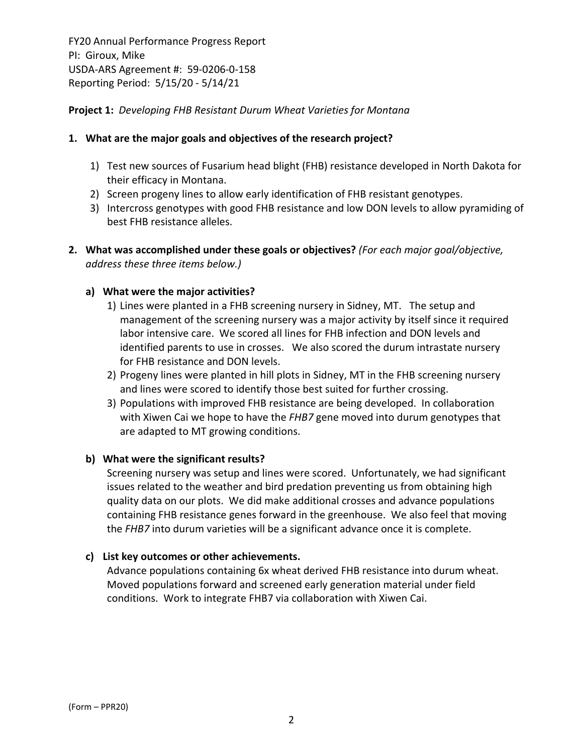## **Project 1:** *Developing FHB Resistant Durum Wheat Varieties for Montana*

## **1. What are the major goals and objectives of the research project?**

- 1) Test new sources of Fusarium head blight (FHB) resistance developed in North Dakota for their efficacy in Montana.
- 2) Screen progeny lines to allow early identification of FHB resistant genotypes.
- 3) Intercross genotypes with good FHB resistance and low DON levels to allow pyramiding of best FHB resistance alleles.
- **2. What was accomplished under these goals or objectives?** *(For each major goal/objective, address these three items below.)*

## **a) What were the major activities?**

- 1) Lines were planted in a FHB screening nursery in Sidney, MT. The setup and management of the screening nursery was a major activity by itself since it required labor intensive care. We scored all lines for FHB infection and DON levels and identified parents to use in crosses. We also scored the durum intrastate nursery for FHB resistance and DON levels.
- 2) Progeny lines were planted in hill plots in Sidney, MT in the FHB screening nursery and lines were scored to identify those best suited for further crossing.
- 3) Populations with improved FHB resistance are being developed. In collaboration with Xiwen Cai we hope to have the *FHB7* gene moved into durum genotypes that are adapted to MT growing conditions.

## **b) What were the significant results?**

Screening nursery was setup and lines were scored. Unfortunately, we had significant issues related to the weather and bird predation preventing us from obtaining high quality data on our plots. We did make additional crosses and advance populations containing FHB resistance genes forward in the greenhouse. We also feel that moving the *FHB7* into durum varieties will be a significant advance once it is complete.

## **c) List key outcomes or other achievements.**

Advance populations containing 6x wheat derived FHB resistance into durum wheat. Moved populations forward and screened early generation material under field conditions. Work to integrate FHB7 via collaboration with Xiwen Cai.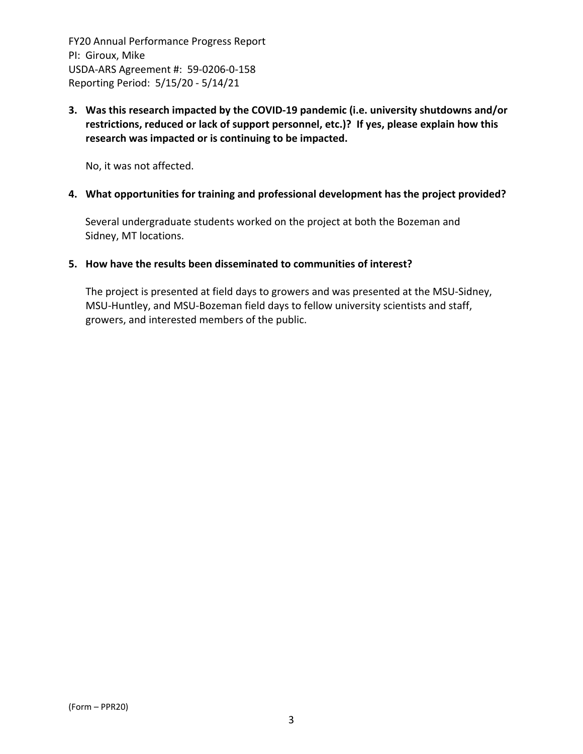**3. Was this research impacted by the COVID‐19 pandemic (i.e. university shutdowns and/or restrictions, reduced or lack of support personnel, etc.)? If yes, please explain how this research was impacted or is continuing to be impacted.**

No, it was not affected.

#### **4. What opportunities for training and professional development has the project provided?**

Several undergraduate students worked on the project at both the Bozeman and Sidney, MT locations.

#### **5. How have the results been disseminated to communities of interest?**

The project is presented at field days to growers and was presented at the MSU‐Sidney, MSU‐Huntley, and MSU‐Bozeman field days to fellow university scientists and staff, growers, and interested members of the public.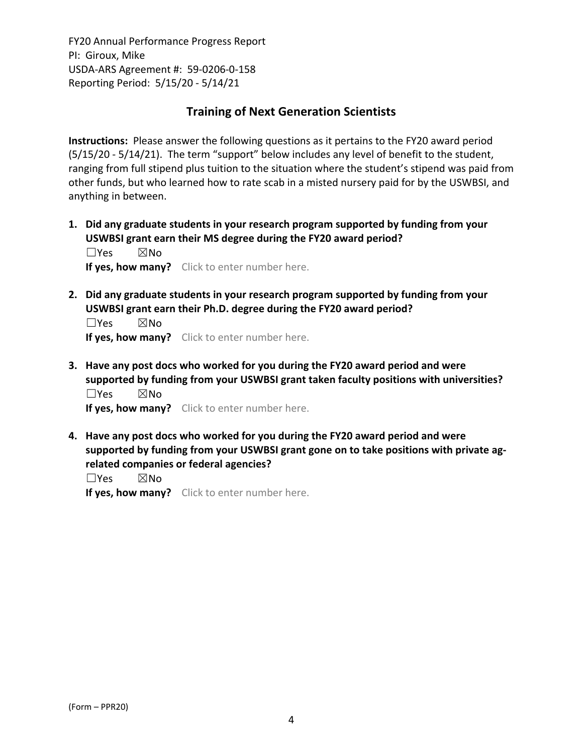# **Training of Next Generation Scientists**

**Instructions:** Please answer the following questions as it pertains to the FY20 award period (5/15/20 ‐ 5/14/21). The term "support" below includes any level of benefit to the student, ranging from full stipend plus tuition to the situation where the student's stipend was paid from other funds, but who learned how to rate scab in a misted nursery paid for by the USWBSI, and anything in between.

**1. Did any graduate students in your research program supported by funding from your USWBSI grant earn their MS degree during the FY20 award period?** ☐Yes ☒No

**If yes, how many?** Click to enter number here.

**2. Did any graduate students in your research program supported by funding from your USWBSI grant earn their Ph.D. degree during the FY20 award period?**

☐Yes ☒No **If yes, how many?** Click to enter number here.

**3. Have any post docs who worked for you during the FY20 award period and were supported by funding from your USWBSI grant taken faculty positions with universities?** ☐Yes ☒No

**If yes, how many?** Click to enter number here.

**4. Have any post docs who worked for you during the FY20 award period and were supported by funding from your USWBSI grant gone on to take positions with private ag‐ related companies or federal agencies?**

☐Yes ☒No

**If yes, how many?** Click to enter number here.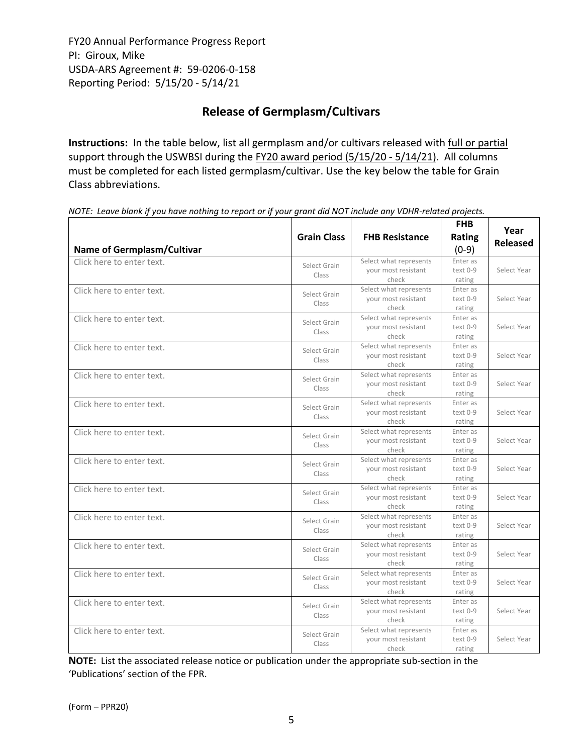# **Release of Germplasm/Cultivars**

**Instructions:** In the table below, list all germplasm and/or cultivars released with full or partial support through the USWBSI during the FY20 award period (5/15/20 - 5/14/21). All columns must be completed for each listed germplasm/cultivar. Use the key below the table for Grain Class abbreviations. 

| <b>Name of Germplasm/Cultivar</b> | <b>Grain Class</b>    | <b>FHB Resistance</b>                                  | <b>FHB</b><br><b>Rating</b><br>$(0-9)$ | Year<br><b>Released</b> |
|-----------------------------------|-----------------------|--------------------------------------------------------|----------------------------------------|-------------------------|
| Click here to enter text.         | Select Grain<br>Class | Select what represents<br>your most resistant<br>check | Enter as<br>text 0-9<br>rating         | Select Year             |
| Click here to enter text.         | Select Grain<br>Class | Select what represents<br>your most resistant<br>check | Enter as<br>text 0-9<br>rating         | Select Year             |
| Click here to enter text.         | Select Grain<br>Class | Select what represents<br>vour most resistant<br>check | Enter as<br>$text 0-9$<br>rating       | Select Year             |
| Click here to enter text.         | Select Grain<br>Class | Select what represents<br>your most resistant<br>check | Enter as<br>text 0-9<br>rating         | Select Year             |
| Click here to enter text.         | Select Grain<br>Class | Select what represents<br>your most resistant<br>check | Enter as<br>text 0-9<br>rating         | Select Year             |
| Click here to enter text.         | Select Grain<br>Class | Select what represents<br>your most resistant<br>check | Enter as<br>text 0-9<br>rating         | Select Year             |
| Click here to enter text.         | Select Grain<br>Class | Select what represents<br>your most resistant<br>check | Enter as<br>text 0-9<br>rating         | Select Year             |
| Click here to enter text.         | Select Grain<br>Class | Select what represents<br>your most resistant<br>check | Enter as<br>text 0-9<br>rating         | Select Year             |
| Click here to enter text.         | Select Grain<br>Class | Select what represents<br>your most resistant<br>check | Enter as<br>text 0-9<br>rating         | Select Year             |
| Click here to enter text.         | Select Grain<br>Class | Select what represents<br>your most resistant<br>check | Enter as<br>text 0-9<br>rating         | Select Year             |
| Click here to enter text.         | Select Grain<br>Class | Select what represents<br>your most resistant<br>check | Enter as<br>text 0-9<br>rating         | Select Year             |
| Click here to enter text.         | Select Grain<br>Class | Select what represents<br>your most resistant<br>check | Enter as<br>$text 0-9$<br>rating       | Select Year             |
| Click here to enter text.         | Select Grain<br>Class | Select what represents<br>your most resistant<br>check | Enter as<br>text 0-9<br>rating         | Select Year             |
| Click here to enter text.         | Select Grain<br>Class | Select what represents<br>your most resistant<br>check | Enter as<br>text 0-9<br>rating         | Select Year             |

NOTE: Leave blank if you have nothing to report or if your grant did NOT include any VDHR-related projects.

**NOTE:** List the associated release notice or publication under the appropriate sub-section in the 'Publications' section of the FPR.